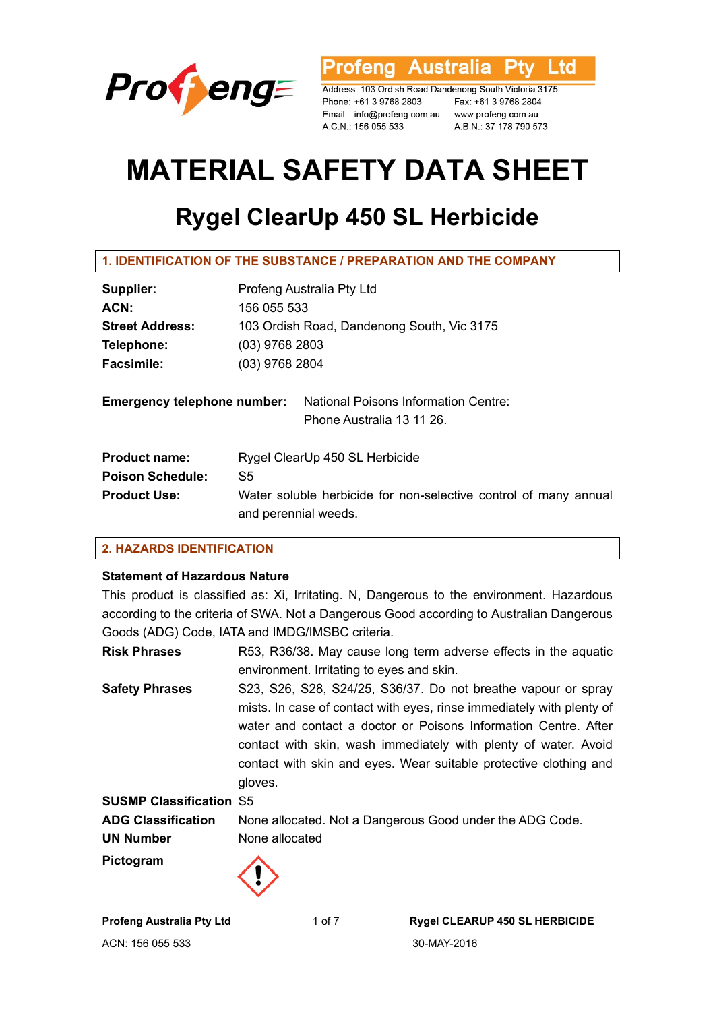

**Australia** l td ofena

Address: 103 Ordish Road Dandenong South Victoria 3175 Phone: +61 3 9768 2803 Email: info@profeng.com.au www.profeng.com.au A.C.N.: 156 055 533

Fax: +61 3 9768 2804 A.B.N.: 37 178 790 573

# **MATERIAL SAFETY DATA SHEET**

## **Rygel ClearUp 450 SL Herbicide**

| Supplier:                          | Profeng Australia Pty Ltd                                                                |  |
|------------------------------------|------------------------------------------------------------------------------------------|--|
| ACN:                               | 156 055 533                                                                              |  |
| <b>Street Address:</b>             | 103 Ordish Road, Dandenong South, Vic 3175                                               |  |
| Telephone:                         | $(03)$ 9768 2803                                                                         |  |
| <b>Facsimile:</b>                  | (03) 9768 2804                                                                           |  |
| <b>Emergency telephone number:</b> | National Poisons Information Centre:<br>Phone Australia 13 11 26.                        |  |
| <b>Product name:</b>               | Rygel ClearUp 450 SL Herbicide                                                           |  |
| <b>Poison Schedule:</b>            | S5                                                                                       |  |
| <b>Product Use:</b>                | Water soluble herbicide for non-selective control of many annual<br>and perennial weeds. |  |

## **2. HAZARDS IDENTIFICATION**

## **Statement of Hazardous Nature**

This product is classified as: Xi, Irritating. N, Dangerous to the environment. Hazardous according to the criteria of SWA. Not a Dangerous Good according to Australian Dangerous Goods (ADG) Code, IATA and IMDG/IMSBC criteria.

**Risk Phrases** R53, R36/38. May cause long term adverse effects in the aquatic environment. Irritating to eyes and skin. **Safety Phrases** S23, S26, S28, S24/25, S36/37. Do not breathe vapour or spray mists. In case of contact with eyes, rinse immediately with plenty of water and contact a doctor or Poisons Information Centre. After contact with skin, wash immediately with plenty of water. Avoid contact with skin and eyes. Wear suitable protective clothing and gloves. **SUSMP Classification** S5 **ADG Classification** None allocated. Not a Dangerous Good under the ADG Code. **UN Number** None allocated **Pictogram** 

ACN: 156 055 533 30-MAY-2016

**Profeng Australia Pty Ltd** 1 of 7 **Rygel CLEARUP 450 SL HERBICIDE**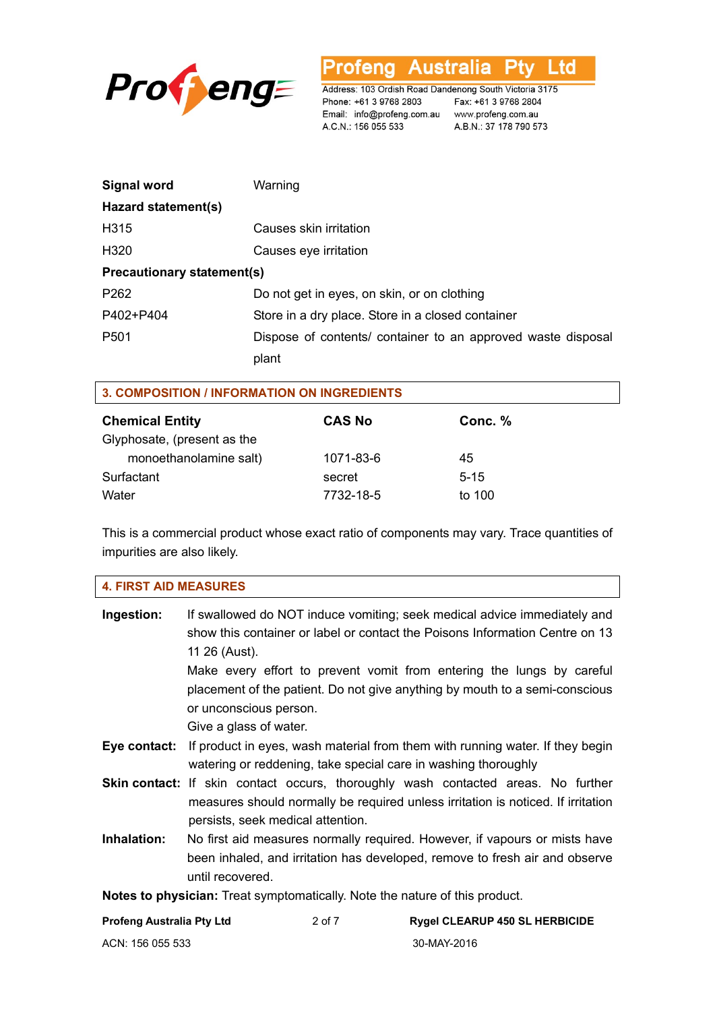

'rofena Australia L td

Address: 103 Ordish Road Dandenong South Victoria 3175 Phone: +61 3 9768 2803 Email: info@profeng.com.au www.profeng.com.au A.C.N.: 156 055 533

Fax: +61 3 9768 2804 A.B.N.: 37 178 790 573

٦

| Signal word                       | Warning                                                      |
|-----------------------------------|--------------------------------------------------------------|
| Hazard statement(s)               |                                                              |
| H315                              | Causes skin irritation                                       |
| H <sub>320</sub>                  | Causes eye irritation                                        |
| <b>Precautionary statement(s)</b> |                                                              |
| P <sub>262</sub>                  | Do not get in eyes, on skin, or on clothing                  |
| P402+P404                         | Store in a dry place. Store in a closed container            |
| P <sub>501</sub>                  | Dispose of contents/ container to an approved waste disposal |
|                                   | plant                                                        |

| 3. COMPOSITION / INFORMATION ON INGREDIENTS |               |          |  |
|---------------------------------------------|---------------|----------|--|
| <b>Chemical Entity</b>                      | <b>CAS No</b> | Conc. %  |  |
| Glyphosate, (present as the                 |               |          |  |
| monoethanolamine salt)                      | 1071-83-6     | 45       |  |
| Surfactant                                  | secret        | $5 - 15$ |  |
| Water                                       | 7732-18-5     | to 100   |  |

This is a commercial product whose exact ratio of components may vary. Trace quantities of impurities are also likely.

| <b>4. FIRST AID MEASURES</b> |                                                                                                                                                                                                                                                                                                                                                                                       |
|------------------------------|---------------------------------------------------------------------------------------------------------------------------------------------------------------------------------------------------------------------------------------------------------------------------------------------------------------------------------------------------------------------------------------|
| Ingestion:                   | If swallowed do NOT induce vomiting; seek medical advice immediately and<br>show this container or label or contact the Poisons Information Centre on 13<br>11 26 (Aust).<br>Make every effort to prevent vomit from entering the lungs by careful<br>placement of the patient. Do not give anything by mouth to a semi-conscious<br>or unconscious person.<br>Give a glass of water. |
| Eye contact:                 | If product in eyes, wash material from them with running water. If they begin<br>watering or reddening, take special care in washing thoroughly                                                                                                                                                                                                                                       |
|                              | <b>Skin contact:</b> If skin contact occurs, thoroughly wash contacted areas. No further<br>measures should normally be required unless irritation is noticed. If irritation<br>persists, seek medical attention.                                                                                                                                                                     |

**Inhalation:** No first aid measures normally required. However, if vapours or mists have been inhaled, and irritation has developed, remove to fresh air and observe until recovered.

**Notes to physician:** Treat symptomatically. Note the nature of this product.

| <b>Profeng Australia Pty Ltd</b> | 2 of 7 | <b>Rygel CLEARUP 450 SL HERBICIDE</b> |
|----------------------------------|--------|---------------------------------------|
| ACN: 156 055 533                 |        | 30-MAY-2016                           |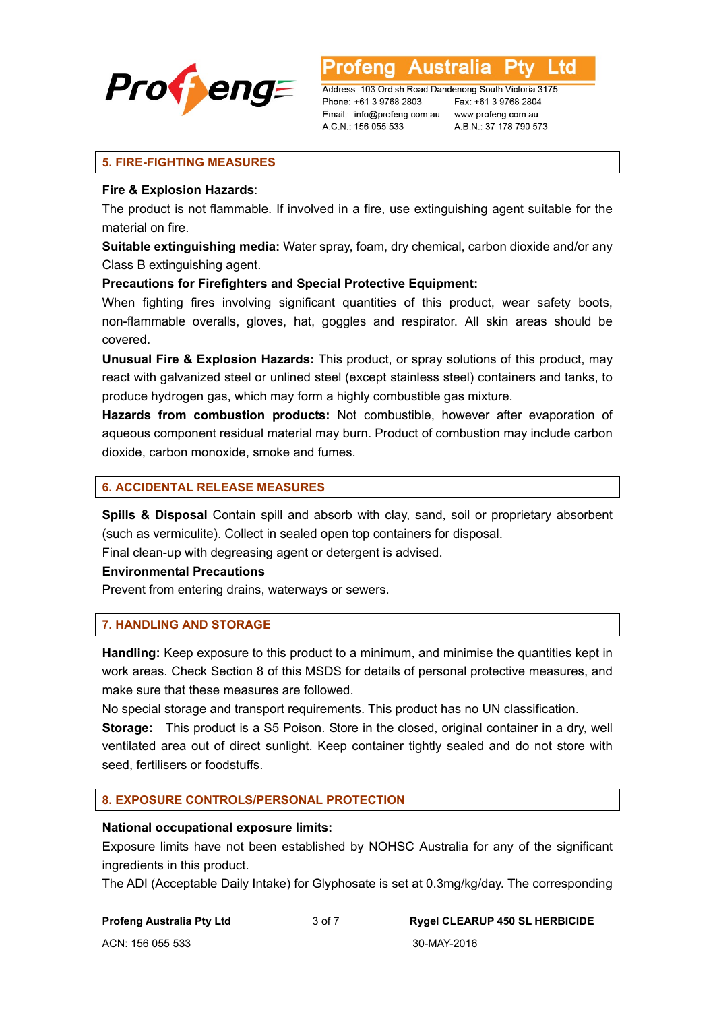

**Australia** L to

Address: 103 Ordish Road Dandenong South Victoria 3175 Phone: +61 3 9768 2803 Email: info@profeng.com.au A.C.N.: 156 055 533

Fax: +61 3 9768 2804 www.profeng.com.au A.B.N.: 37 178 790 573

## **5. FIRE-FIGHTING MEASURES**

## **Fire & Explosion Hazards**:

The product is not flammable. If involved in a fire, use extinguishing agent suitable for the material on fire.

**Suitable extinguishing media:** Water spray, foam, dry chemical, carbon dioxide and/or any Class B extinguishing agent.

## **Precautions for Firefighters and Special Protective Equipment:**

When fighting fires involving significant quantities of this product, wear safety boots, non-flammable overalls, gloves, hat, goggles and respirator. All skin areas should be covered.

**Unusual Fire & Explosion Hazards:** This product, or spray solutions of this product, may react with galvanized steel or unlined steel (except stainless steel) containers and tanks, to produce hydrogen gas, which may form a highly combustible gas mixture.

**Hazards from combustion products:** Not combustible, however after evaporation of aqueous component residual material may burn. Product of combustion may include carbon dioxide, carbon monoxide, smoke and fumes.

## **6. ACCIDENTAL RELEASE MEASURES**

**Spills & Disposal** Contain spill and absorb with clay, sand, soil or proprietary absorbent (such as vermiculite). Collect in sealed open top containers for disposal.

Final clean-up with degreasing agent or detergent is advised.

## **Environmental Precautions**

Prevent from entering drains, waterways or sewers.

## **7. HANDLING AND STORAGE**

**Handling:** Keep exposure to this product to a minimum, and minimise the quantities kept in work areas. Check Section 8 of this MSDS for details of personal protective measures, and make sure that these measures are followed.

No special storage and transport requirements. This product has no UN classification.

**Storage:** This product is a S5 Poison. Store in the closed, original container in a dry, well ventilated area out of direct sunlight. Keep container tightly sealed and do not store with seed, fertilisers or foodstuffs.

## **8. EXPOSURE CONTROLS/PERSONAL PROTECTION**

## **National occupational exposure limits:**

Exposure limits have not been established by NOHSC Australia for any of the significant ingredients in this product.

The ADI (Acceptable Daily Intake) for Glyphosate is set at 0.3mg/kg/day. The corresponding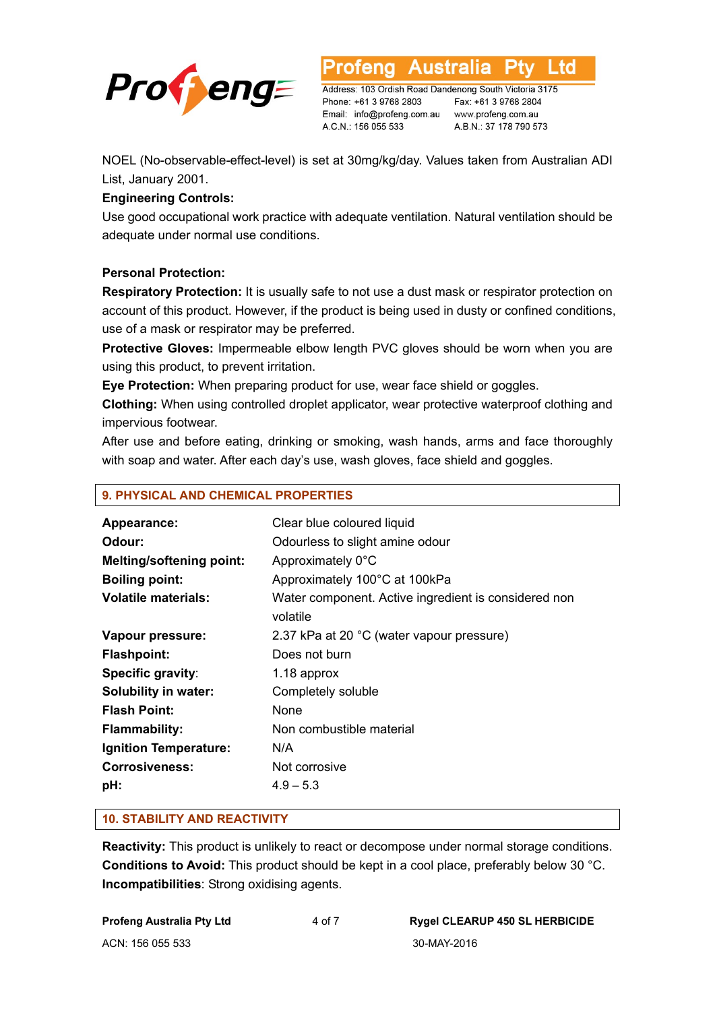

L to

Address: 103 Ordish Road Dandenong South Victoria 3175 Phone: +61 3 9768 2803 Email: info@profeng.com.au A.C.N.: 156 055 533

Fax: +61 3 9768 2804 www.profeng.com.au A.B.N.: 37 178 790 573

NOEL (No-observable-effect-level) is set at 30mg/kg/day. Values taken from Australian ADI List, January 2001.

## **Engineering Controls:**

Use good occupational work practice with adequate ventilation. Natural ventilation should be adequate under normal use conditions.

## **Personal Protection:**

**Respiratory Protection:** It is usually safe to not use a dust mask or respirator protection on account of this product. However, if the product is being used in dusty or confined conditions, use of a mask or respirator may be preferred.

**Protective Gloves:** Impermeable elbow length PVC gloves should be worn when you are using this product, to prevent irritation.

**Eye Protection:** When preparing product for use, wear face shield or goggles.

**Clothing:** When using controlled droplet applicator, wear protective waterproof clothing and impervious footwear.

After use and before eating, drinking or smoking, wash hands, arms and face thoroughly with soap and water. After each day's use, wash gloves, face shield and goggles.

| Appearance:                     | Clear blue coloured liquid                                       |
|---------------------------------|------------------------------------------------------------------|
| Odour:                          | Odourless to slight amine odour                                  |
| <b>Melting/softening point:</b> | Approximately 0°C                                                |
| <b>Boiling point:</b>           | Approximately 100°C at 100kPa                                    |
| <b>Volatile materials:</b>      | Water component. Active ingredient is considered non<br>volatile |
| Vapour pressure:                | 2.37 kPa at 20 °C (water vapour pressure)                        |
| <b>Flashpoint:</b>              | Does not burn                                                    |
| Specific gravity:               | 1.18 approx                                                      |
| Solubility in water:            | Completely soluble                                               |
| <b>Flash Point:</b>             | None                                                             |
| <b>Flammability:</b>            | Non combustible material                                         |
| Ignition Temperature:           | N/A                                                              |
| <b>Corrosiveness:</b>           | Not corrosive                                                    |
| pH:                             | $4.9 - 5.3$                                                      |
|                                 |                                                                  |

## **10. STABILITY AND REACTIVITY**

**9. PHYSICAL AND CHEMICAL PROPERTIES** 

**Reactivity:** This product is unlikely to react or decompose under normal storage conditions. **Conditions to Avoid:** This product should be kept in a cool place, preferably below 30 °C. **Incompatibilities**: Strong oxidising agents.

| <b>Profeng Australia Pty Ltd</b> |  |
|----------------------------------|--|
| ACN: 156 055 533                 |  |

30-MAY-2016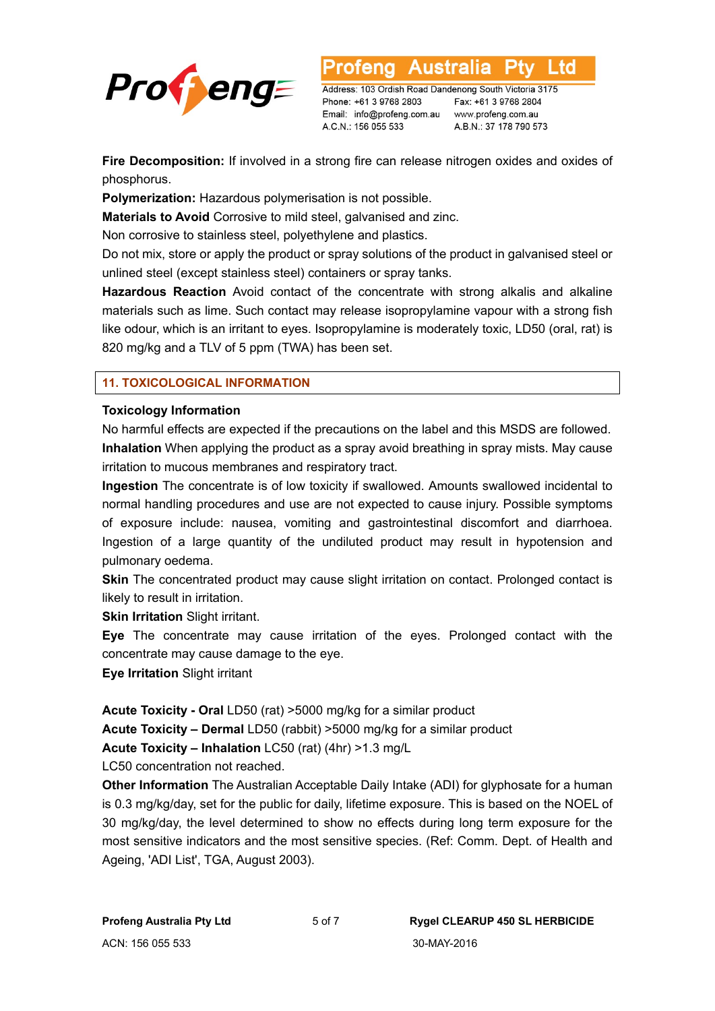

Address: 103 Ordish Road Dandenong South Victoria 3175 Phone: +61 3 9768 2803 Email: info@profeng.com.au A.C.N.: 156 055 533

Fax: +61 3 9768 2804 www.profeng.com.au A.B.N.: 37 178 790 573

L to

**Fire Decomposition:** If involved in a strong fire can release nitrogen oxides and oxides of phosphorus.

**Polymerization:** Hazardous polymerisation is not possible.

**Materials to Avoid** Corrosive to mild steel, galvanised and zinc.

Non corrosive to stainless steel, polyethylene and plastics.

Do not mix, store or apply the product or spray solutions of the product in galvanised steel or unlined steel (except stainless steel) containers or spray tanks.

**Hazardous Reaction** Avoid contact of the concentrate with strong alkalis and alkaline materials such as lime. Such contact may release isopropylamine vapour with a strong fish like odour, which is an irritant to eyes. Isopropylamine is moderately toxic, LD50 (oral, rat) is 820 mg/kg and a TLV of 5 ppm (TWA) has been set.

## **11. TOXICOLOGICAL INFORMATION**

## **Toxicology Information**

No harmful effects are expected if the precautions on the label and this MSDS are followed. **Inhalation** When applying the product as a spray avoid breathing in spray mists. May cause irritation to mucous membranes and respiratory tract.

**Ingestion** The concentrate is of low toxicity if swallowed. Amounts swallowed incidental to normal handling procedures and use are not expected to cause injury. Possible symptoms of exposure include: nausea, vomiting and gastrointestinal discomfort and diarrhoea. Ingestion of a large quantity of the undiluted product may result in hypotension and pulmonary oedema.

**Skin** The concentrated product may cause slight irritation on contact. Prolonged contact is likely to result in irritation.

**Skin Irritation** Slight irritant.

**Eye** The concentrate may cause irritation of the eyes. Prolonged contact with the concentrate may cause damage to the eye.

**Eye Irritation** Slight irritant

**Acute Toxicity - Oral** LD50 (rat) >5000 mg/kg for a similar product

**Acute Toxicity – Dermal** LD50 (rabbit) >5000 mg/kg for a similar product

**Acute Toxicity – Inhalation** LC50 (rat) (4hr) >1.3 mg/L

LC50 concentration not reached.

**Other Information** The Australian Acceptable Daily Intake (ADI) for glyphosate for a human is 0.3 mg/kg/day, set for the public for daily, lifetime exposure. This is based on the NOEL of 30 mg/kg/day, the level determined to show no effects during long term exposure for the most sensitive indicators and the most sensitive species. (Ref: Comm. Dept. of Health and Ageing, 'ADI List', TGA, August 2003).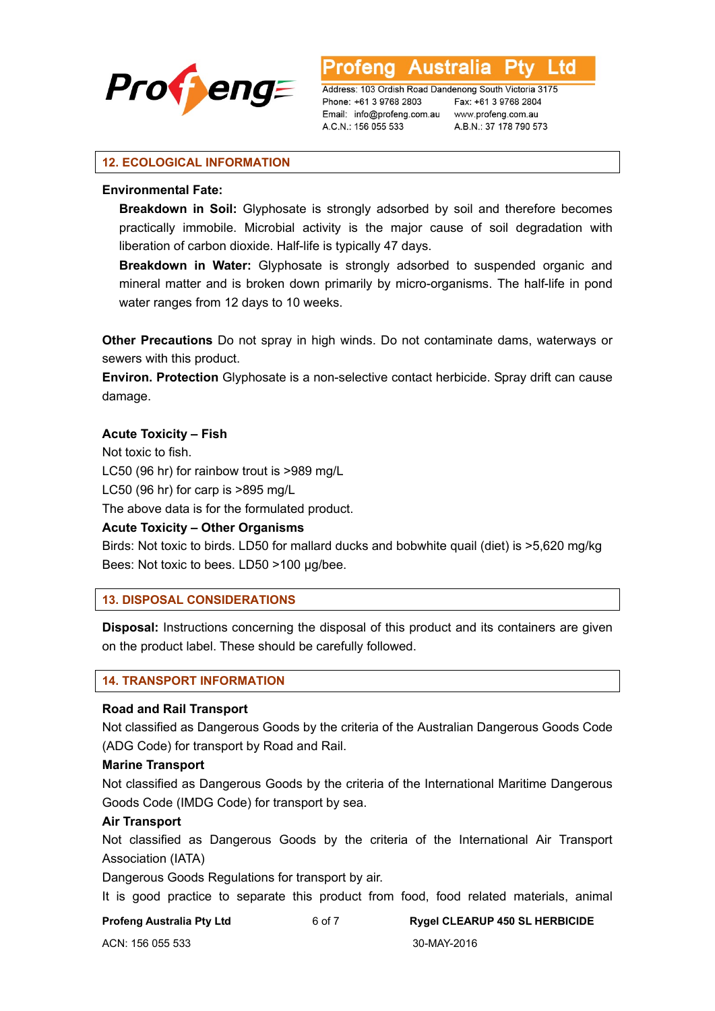

Australia L TG

Address: 103 Ordish Road Dandenong South Victoria 3175 Phone: +61 3 9768 2803 Email: info@profeng.com.au A.C.N.: 156 055 533

Fax: +61 3 9768 2804 www.profeng.com.au A.B.N.: 37 178 790 573

## **12. ECOLOGICAL INFORMATION**

## **Environmental Fate:**

**Breakdown in Soil:** Glyphosate is strongly adsorbed by soil and therefore becomes practically immobile. Microbial activity is the major cause of soil degradation with liberation of carbon dioxide. Half-life is typically 47 days.

**Breakdown in Water:** Glyphosate is strongly adsorbed to suspended organic and mineral matter and is broken down primarily by micro-organisms. The half-life in pond water ranges from 12 days to 10 weeks.

**Other Precautions** Do not spray in high winds. Do not contaminate dams, waterways or sewers with this product.

**Environ. Protection** Glyphosate is a non-selective contact herbicide. Spray drift can cause damage.

## **Acute Toxicity – Fish**

Not toxic to fish. LC50 (96 hr) for rainbow trout is >989 mg/L

LC50 (96 hr) for carp is >895 mg/L

The above data is for the formulated product.

**Acute Toxicity – Other Organisms** 

Birds: Not toxic to birds. LD50 for mallard ducks and bobwhite quail (diet) is >5,620 mg/kg Bees: Not toxic to bees. LD50 >100 µg/bee.

## **13. DISPOSAL CONSIDERATIONS**

**Disposal:** Instructions concerning the disposal of this product and its containers are given on the product label. These should be carefully followed.

#### **14. TRANSPORT INFORMATION**

## **Road and Rail Transport**

Not classified as Dangerous Goods by the criteria of the Australian Dangerous Goods Code (ADG Code) for transport by Road and Rail.

#### **Marine Transport**

Not classified as Dangerous Goods by the criteria of the International Maritime Dangerous Goods Code (IMDG Code) for transport by sea.

## **Air Transport**

Not classified as Dangerous Goods by the criteria of the International Air Transport Association (IATA)

Dangerous Goods Regulations for transport by air.

It is good practice to separate this product from food, food related materials, animal

**Profeng Australia Pty Ltd** 6 of 7 **Rygel CLEARUP 450 SL HERBICIDE**